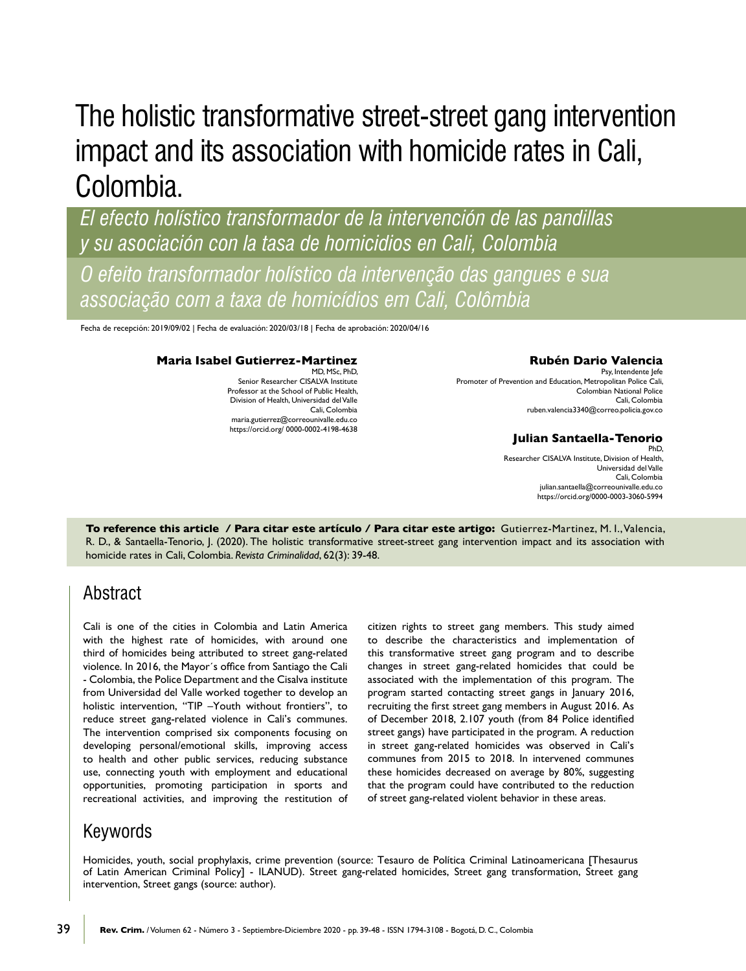# The holistic transformative street-street gang intervention impact and its association with homicide rates in Cali, Colombia.

*El efecto holístico transformador de la intervención de las pandillas y su asociación con la tasa de homicidios en Cali, Colombia* 

*O efeito transformador holístico da intervenção das gangues e sua associação com a taxa de homicídios em Cali, Colômbia* 

Fecha de recepción: 2019/09/02 | Fecha de evaluación: 2020/03/18 | Fecha de aprobación: 2020/04/16

#### **Maria Isabel Gutierrez-Martinez**

MD, MSc, PhD, Senior Researcher CISALVA Institute Professor at the School of Public Health, Division of Health, Universidad del Valle Cali, Colombia [maria.gutierrez@correounivalle.edu.co](mailto:maria.gutierrez@correounivalle.edu.co%20?subject=) [https://orcid.org/ 0000-0002-4198-4638](https://orcid.org/%200000-0002-4198-4638%20%20)

#### **Rubén Dario Valencia**

Psy, Intendente Jefe Promoter of Prevention and Education, Metropolitan Police Cali, Colombian National Police Cali, Colombia [ruben.valencia3340@correo.policia.gov.co](mailto:ruben.valencia3340@correo.policia.gov.co?subject=)

### **Julian Santaella-Tenorio**

PhD, Researcher CISALVA Institute, Division of Health, Universidad del Valle Cali, Colombia [julian.santaella@correounivalle.edu.co](mailto:julian.santaella@correounivalle.edu.co%20?subject=) <https://orcid.org/0000-0003-3060-5994>

**To reference this article / Para citar este artículo / Para citar este artigo:** Gutierrez-Martinez, M. I., Valencia, R. D., & Santaella-Tenorio, J. (2020). The holistic transformative street-street gang intervention impact and its association with homicide rates in Cali, Colombia. *Revista Criminalidad*, 62(3): 39-48.

# Abstract

Cali is one of the cities in Colombia and Latin America with the highest rate of homicides, with around one third of homicides being attributed to street gang-related violence. In 2016, the Mayor's office from Santiago the Cali - Colombia, the Police Department and the Cisalva institute from Universidad del Valle worked together to develop an holistic intervention, "TIP –Youth without frontiers", to reduce street gang-related violence in Cali's communes. The intervention comprised six components focusing on developing personal/emotional skills, improving access to health and other public services, reducing substance use, connecting youth with employment and educational opportunities, promoting participation in sports and recreational activities, and improving the restitution of citizen rights to street gang members. This study aimed to describe the characteristics and implementation of this transformative street gang program and to describe changes in street gang-related homicides that could be associated with the implementation of this program. The program started contacting street gangs in January 2016, recruiting the first street gang members in August 2016. As of December 2018, 2.107 youth (from 84 Police identified street gangs) have participated in the program. A reduction in street gang-related homicides was observed in Cali's communes from 2015 to 2018. In intervened communes these homicides decreased on average by 80%, suggesting that the program could have contributed to the reduction of street gang-related violent behavior in these areas.

# Keywords

Homicides, youth, social prophylaxis, crime prevention (source: Tesauro de Política Criminal Latinoamericana [Thesaurus of Latin American Criminal Policy] - ILANUD). Street gang-related homicides, Street gang transformation, Street gang intervention, Street gangs (source: author).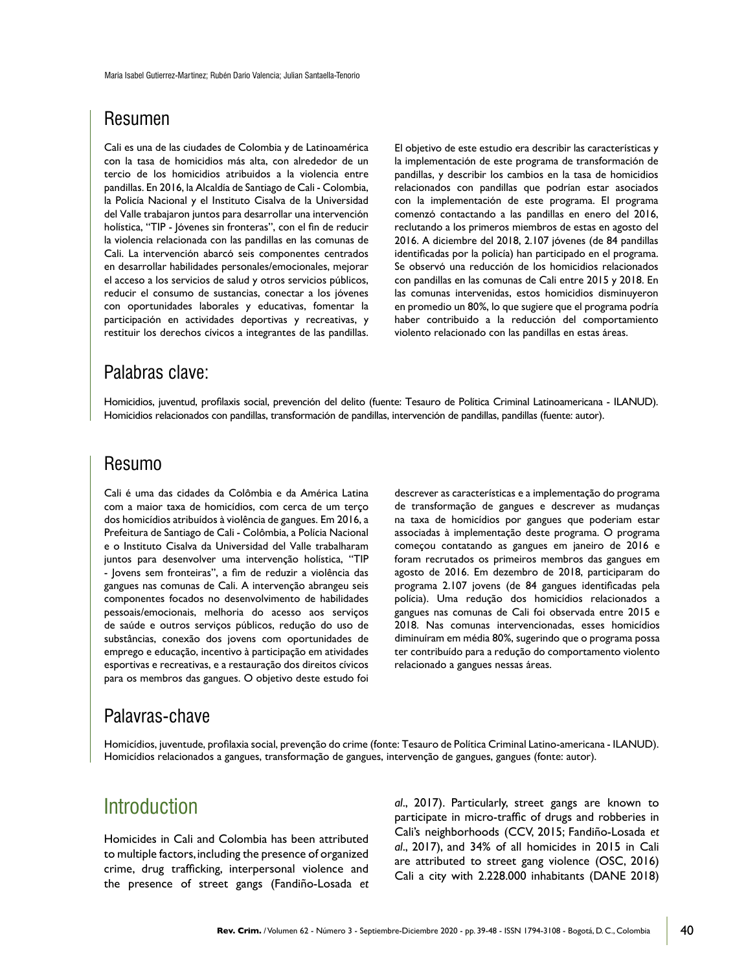# Resumen

Cali es una de las ciudades de Colombia y de Latinoamérica con la tasa de homicidios más alta, con alrededor de un tercio de los homicidios atribuidos a la violencia entre pandillas. En 2016, la Alcaldía de Santiago de Cali - Colombia, la Policía Nacional y el Instituto Cisalva de la Universidad del Valle trabajaron juntos para desarrollar una intervención holística, "TIP - Jóvenes sin fronteras", con el fin de reducir la violencia relacionada con las pandillas en las comunas de Cali. La intervención abarcó seis componentes centrados en desarrollar habilidades personales/emocionales, mejorar el acceso a los servicios de salud y otros servicios públicos, reducir el consumo de sustancias, conectar a los jóvenes con oportunidades laborales y educativas, fomentar la participación en actividades deportivas y recreativas, y restituir los derechos cívicos a integrantes de las pandillas.

El objetivo de este estudio era describir las características y la implementación de este programa de transformación de pandillas, y describir los cambios en la tasa de homicidios relacionados con pandillas que podrían estar asociados con la implementación de este programa. El programa comenzó contactando a las pandillas en enero del 2016, reclutando a los primeros miembros de estas en agosto del 2016. A diciembre del 2018, 2.107 jóvenes (de 84 pandillas identificadas por la policía) han participado en el programa. Se observó una reducción de los homicidios relacionados con pandillas en las comunas de Cali entre 2015 y 2018. En las comunas intervenidas, estos homicidios disminuyeron en promedio un 80%, lo que sugiere que el programa podría haber contribuido a la reducción del comportamiento violento relacionado con las pandillas en estas áreas.

# Palabras clave:

Homicidios, juventud, profilaxis social, prevención del delito (fuente: Tesauro de Política Criminal Latinoamericana - ILANUD). Homicidios relacionados con pandillas, transformación de pandillas, intervención de pandillas, pandillas (fuente: autor).

### Resumo

Cali é uma das cidades da Colômbia e da América Latina com a maior taxa de homicídios, com cerca de um terço dos homicídios atribuídos à violência de gangues. Em 2016, a Prefeitura de Santiago de Cali - Colômbia, a Polícia Nacional e o Instituto Cisalva da Universidad del Valle trabalharam juntos para desenvolver uma intervenção holística, "TIP - Jovens sem fronteiras", a fim de reduzir a violência das gangues nas comunas de Cali. A intervenção abrangeu seis componentes focados no desenvolvimento de habilidades pessoais/emocionais, melhoria do acesso aos serviços de saúde e outros serviços públicos, redução do uso de substâncias, conexão dos jovens com oportunidades de emprego e educação, incentivo à participação em atividades esportivas e recreativas, e a restauração dos direitos cívicos para os membros das gangues. O objetivo deste estudo foi descrever as características e a implementação do programa de transformação de gangues e descrever as mudanças na taxa de homicídios por gangues que poderiam estar associadas à implementação deste programa. O programa começou contatando as gangues em janeiro de 2016 e foram recrutados os primeiros membros das gangues em agosto de 2016. Em dezembro de 2018, participaram do programa 2.107 jovens (de 84 gangues identificadas pela polícia). Uma redução dos homicídios relacionados a gangues nas comunas de Cali foi observada entre 2015 e 2018. Nas comunas intervencionadas, esses homicídios diminuíram em média 80%, sugerindo que o programa possa ter contribuído para a redução do comportamento violento relacionado a gangues nessas áreas.

# Palavras-chave

Homicídios, juventude, profilaxia social, prevenção do crime (fonte: Tesauro de Política Criminal Latino-americana - ILANUD). Homicídios relacionados a gangues, transformação de gangues, intervenção de gangues, gangues (fonte: autor).

# Introduction

Homicides in Cali and Colombia has been attributed to multiple factors, including the presence of organized crime, drug trafficking, interpersonal violence and the presence of street gangs (Fandiño-Losada *et*  *al*., 2017). Particularly, street gangs are known to participate in micro-traffic of drugs and robberies in Cali's neighborhoods (CCV, 2015; Fandiño-Losada *et al*., 2017), and 34% of all homicides in 2015 in Cali are attributed to street gang violence (OSC, 2016) Cali a city with 2.228.000 inhabitants (DANE 2018)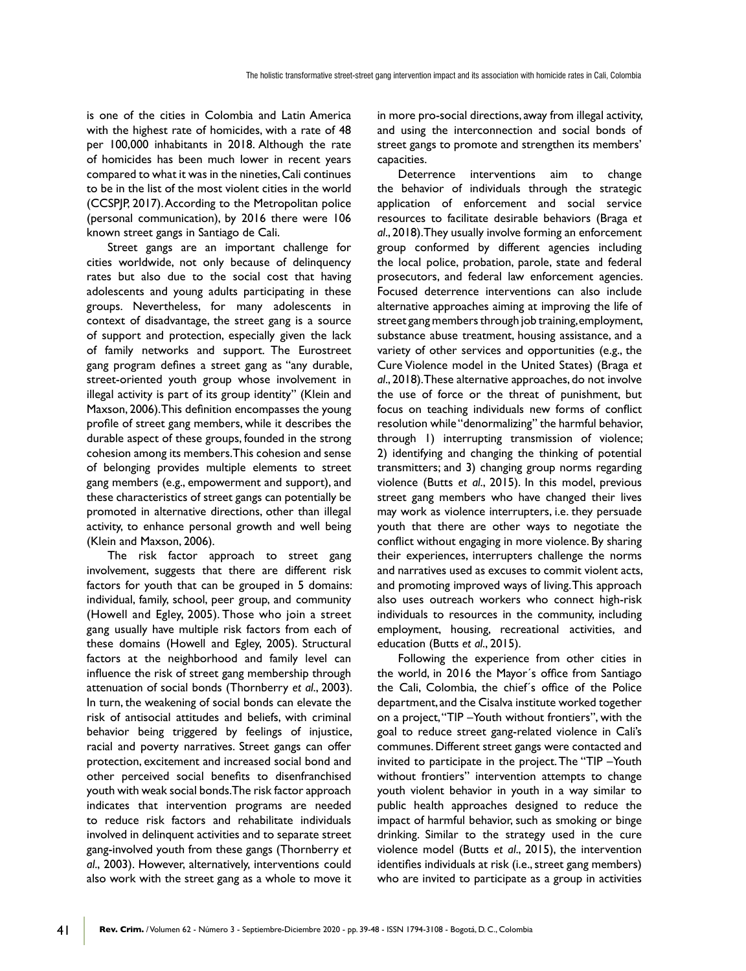is one of the cities in Colombia and Latin America with the highest rate of homicides, with a rate of 48 per 100,000 inhabitants in 2018. Although the rate of homicides has been much lower in recent years compared to what it was in the nineties, Cali continues to be in the list of the most violent cities in the world (CCSPJP, 2017). According to the Metropolitan police (personal communication), by 2016 there were 106 known street gangs in Santiago de Cali.

Street gangs are an important challenge for cities worldwide, not only because of delinquency rates but also due to the social cost that having adolescents and young adults participating in these groups. Nevertheless, for many adolescents in context of disadvantage, the street gang is a source of support and protection, especially given the lack of family networks and support. The Eurostreet gang program defines a street gang as "any durable, street-oriented youth group whose involvement in illegal activity is part of its group identity" (Klein and Maxson, 2006). This definition encompasses the young profile of street gang members, while it describes the durable aspect of these groups, founded in the strong cohesion among its members. This cohesion and sense of belonging provides multiple elements to street gang members (e.g., empowerment and support), and these characteristics of street gangs can potentially be promoted in alternative directions, other than illegal activity, to enhance personal growth and well being (Klein and Maxson, 2006).

The risk factor approach to street gang involvement, suggests that there are different risk factors for youth that can be grouped in 5 domains: individual, family, school, peer group, and community (Howell and Egley, 2005). Those who join a street gang usually have multiple risk factors from each of these domains (Howell and Egley, 2005). Structural factors at the neighborhood and family level can influence the risk of street gang membership through attenuation of social bonds (Thornberry *et al*., 2003). In turn, the weakening of social bonds can elevate the risk of antisocial attitudes and beliefs, with criminal behavior being triggered by feelings of injustice, racial and poverty narratives. Street gangs can offer protection, excitement and increased social bond and other perceived social benefits to disenfranchised youth with weak social bonds. The risk factor approach indicates that intervention programs are needed to reduce risk factors and rehabilitate individuals involved in delinquent activities and to separate street gang-involved youth from these gangs (Thornberry *et al*., 2003). However, alternatively, interventions could also work with the street gang as a whole to move it

41

in more pro-social directions, away from illegal activity, and using the interconnection and social bonds of street gangs to promote and strengthen its members' capacities.

Deterrence interventions aim to change the behavior of individuals through the strategic application of enforcement and social service resources to facilitate desirable behaviors (Braga *et al*., 2018). They usually involve forming an enforcement group conformed by different agencies including the local police, probation, parole, state and federal prosecutors, and federal law enforcement agencies. Focused deterrence interventions can also include alternative approaches aiming at improving the life of street gang members through job training, employment, substance abuse treatment, housing assistance, and a variety of other services and opportunities (e.g., the Cure Violence model in the United States) (Braga *et al*., 2018). These alternative approaches, do not involve the use of force or the threat of punishment, but focus on teaching individuals new forms of conflict resolution while "denormalizing" the harmful behavior. through 1) interrupting transmission of violence; 2) identifying and changing the thinking of potential transmitters; and 3) changing group norms regarding violence (Butts *et al*., 2015). In this model, previous street gang members who have changed their lives may work as violence interrupters, i.e. they persuade youth that there are other ways to negotiate the conflict without engaging in more violence. By sharing their experiences, interrupters challenge the norms and narratives used as excuses to commit violent acts, and promoting improved ways of living. This approach also uses outreach workers who connect high-risk individuals to resources in the community, including employment, housing, recreational activities, and education (Butts *et al*., 2015).

Following the experience from other cities in the world, in 2016 the Mayor's office from Santiago the Cali, Colombia, the chief's office of the Police department, and the Cisalva institute worked together on a project, "TIP - Youth without frontiers", with the goal to reduce street gang-related violence in Cali's communes. Different street gangs were contacted and invited to participate in the project. The "TIP - Youth without frontiers" intervention attempts to change youth violent behavior in youth in a way similar to public health approaches designed to reduce the impact of harmful behavior, such as smoking or binge drinking. Similar to the strategy used in the cure violence model (Butts *et al*., 2015), the intervention identifies individuals at risk (i.e., street gang members) who are invited to participate as a group in activities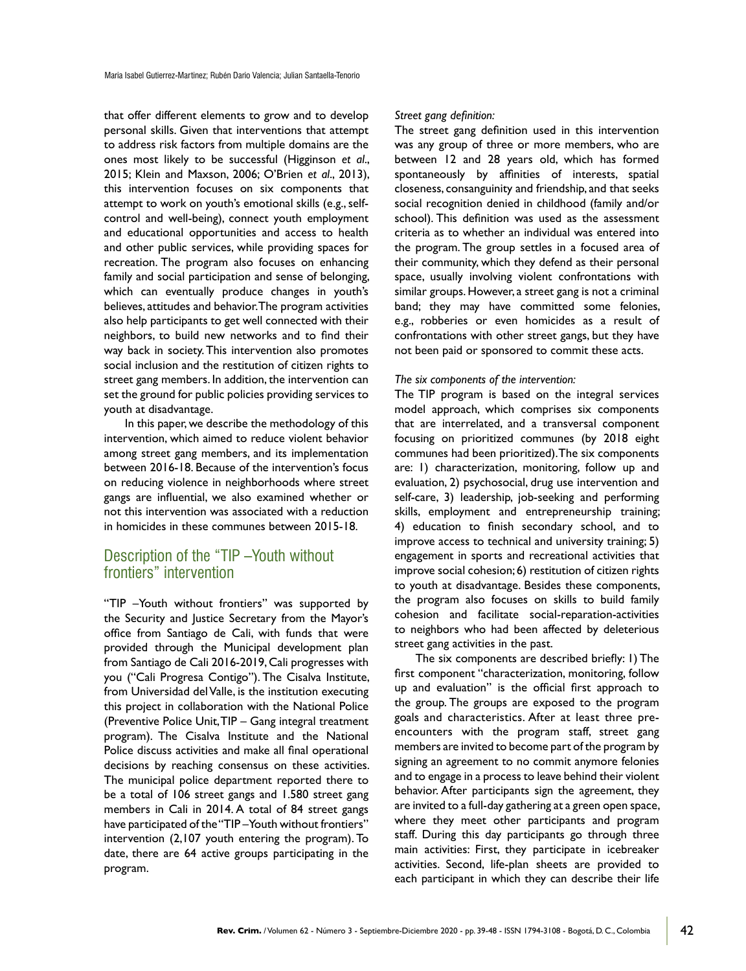that offer different elements to grow and to develop personal skills. Given that interventions that attempt to address risk factors from multiple domains are the ones most likely to be successful (Higginson *et al*., 2015; Klein and Maxson, 2006; O'Brien *et al*., 2013), this intervention focuses on six components that attempt to work on youth's emotional skills (e.g., selfcontrol and well-being), connect youth employment and educational opportunities and access to health and other public services, while providing spaces for recreation. The program also focuses on enhancing family and social participation and sense of belonging, which can eventually produce changes in youth's believes, attitudes and behavior. The program activities also help participants to get well connected with their neighbors, to build new networks and to find their way back in society. This intervention also promotes social inclusion and the restitution of citizen rights to street gang members. In addition, the intervention can set the ground for public policies providing services to youth at disadvantage.

In this paper, we describe the methodology of this intervention, which aimed to reduce violent behavior among street gang members, and its implementation between 2016-18. Because of the intervention's focus on reducing violence in neighborhoods where street gangs are influential, we also examined whether or not this intervention was associated with a reduction in homicides in these communes between 2015-18.

### Description of the "TIP –Youth without frontiers" intervention

"TIP -Youth without frontiers" was supported by the Security and Justice Secretary from the Mayor's office from Santiago de Cali, with funds that were provided through the Municipal development plan from Santiago de Cali 2016-2019, Cali progresses with you ("Cali Progresa Contigo"). The Cisalva Institute, from Universidad del Valle, is the institution executing this project in collaboration with the National Police (Preventive Police Unit, TIP – Gang integral treatment program). The Cisalva Institute and the National Police discuss activities and make all final operational decisions by reaching consensus on these activities. The municipal police department reported there to be a total of 106 street gangs and 1.580 street gang members in Cali in 2014. A total of 84 street gangs have participated of the "TIP-Youth without frontiers" intervention (2,107 youth entering the program). To date, there are 64 active groups participating in the program.

#### Street gang definition:

The street gang definition used in this intervention was any group of three or more members, who are between 12 and 28 years old, which has formed spontaneously by affinities of interests, spatial closeness, consanguinity and friendship, and that seeks social recognition denied in childhood (family and/or school). This definition was used as the assessment criteria as to whether an individual was entered into the program. The group settles in a focused area of their community, which they defend as their personal space, usually involving violent confrontations with similar groups. However, a street gang is not a criminal band; they may have committed some felonies, e.g., robberies or even homicides as a result of confrontations with other street gangs, but they have not been paid or sponsored to commit these acts.

#### *The six components of the intervention:*

The TIP program is based on the integral services model approach, which comprises six components that are interrelated, and a transversal component focusing on prioritized communes (by 2018 eight communes had been prioritized). The six components are: 1) characterization, monitoring, follow up and evaluation, 2) psychosocial, drug use intervention and self-care, 3) leadership, job-seeking and performing skills, employment and entrepreneurship training; 4) education to finish secondary school, and to improve access to technical and university training; 5) engagement in sports and recreational activities that improve social cohesion; 6) restitution of citizen rights to youth at disadvantage. Besides these components, the program also focuses on skills to build family cohesion and facilitate social-reparation-activities to neighbors who had been affected by deleterious street gang activities in the past.

The six components are described briefly: 1) The first component "characterization, monitoring, follow up and evaluation" is the official first approach to the group. The groups are exposed to the program goals and characteristics. After at least three preencounters with the program staff, street gang members are invited to become part of the program by signing an agreement to no commit anymore felonies and to engage in a process to leave behind their violent behavior. After participants sign the agreement, they are invited to a full-day gathering at a green open space, where they meet other participants and program staff. During this day participants go through three main activities: First, they participate in icebreaker activities. Second, life-plan sheets are provided to each participant in which they can describe their life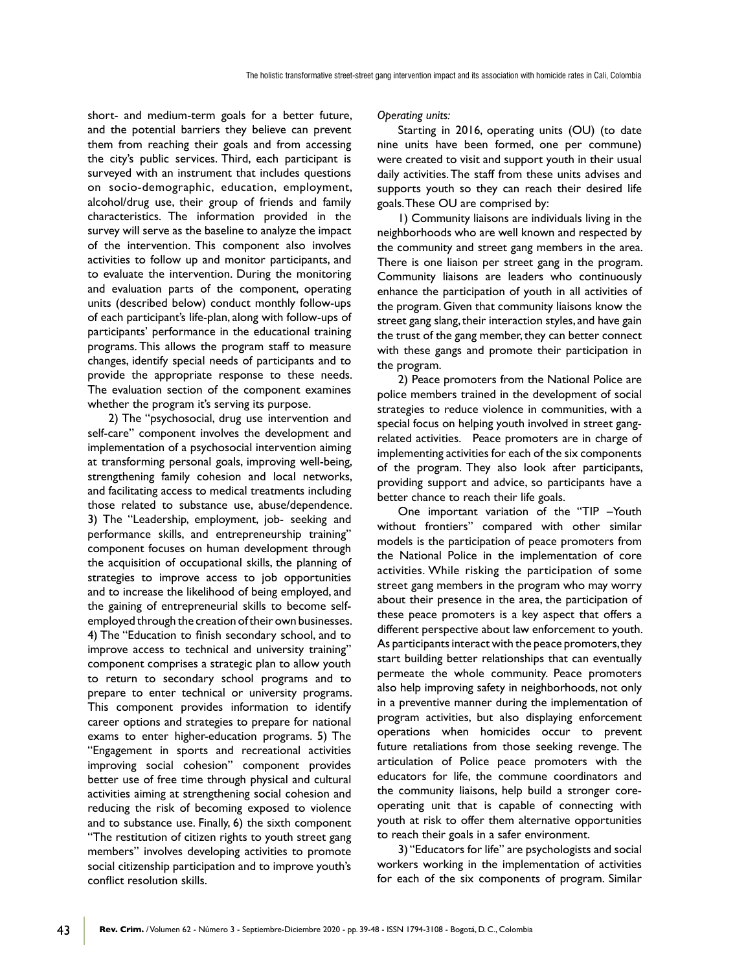short- and medium-term goals for a better future, and the potential barriers they believe can prevent them from reaching their goals and from accessing the city's public services. Third, each participant is surveyed with an instrument that includes questions on socio-demographic, education, employment, alcohol/drug use, their group of friends and family characteristics. The information provided in the survey will serve as the baseline to analyze the impact of the intervention. This component also involves activities to follow up and monitor participants, and to evaluate the intervention. During the monitoring and evaluation parts of the component, operating units (described below) conduct monthly follow-ups of each participant's life-plan, along with follow-ups of participants' performance in the educational training programs. This allows the program staff to measure changes, identify special needs of participants and to provide the appropriate response to these needs. The evaluation section of the component examines whether the program it's serving its purpose.

2) The "psychosocial, drug use intervention and self-care" component involves the development and implementation of a psychosocial intervention aiming at transforming personal goals, improving well-being, strengthening family cohesion and local networks, and facilitating access to medical treatments including those related to substance use, abuse/dependence. 3) The "Leadership, employment, job- seeking and performance skills, and entrepreneurship training" component focuses on human development through the acquisition of occupational skills, the planning of strategies to improve access to job opportunities and to increase the likelihood of being employed, and the gaining of entrepreneurial skills to become selfemployed through the creation of their own businesses. 4) The "Education to finish secondary school, and to improve access to technical and university training" component comprises a strategic plan to allow youth to return to secondary school programs and to prepare to enter technical or university programs. This component provides information to identify career options and strategies to prepare for national exams to enter higher-education programs. 5) The "Engagement in sports and recreational activities improving social cohesion" component provides better use of free time through physical and cultural activities aiming at strengthening social cohesion and reducing the risk of becoming exposed to violence and to substance use. Finally, 6) the sixth component "The restitution of citizen rights to youth street gang members" involves developing activities to promote social citizenship participation and to improve youth's conflict resolution skills.

*Operating units:*

Starting in 2016, operating units (OU) (to date nine units have been formed, one per commune) were created to visit and support youth in their usual daily activities. The staff from these units advises and supports youth so they can reach their desired life goals. These OU are comprised by:

1) Community liaisons are individuals living in the neighborhoods who are well known and respected by the community and street gang members in the area. There is one liaison per street gang in the program. Community liaisons are leaders who continuously enhance the participation of youth in all activities of the program. Given that community liaisons know the street gang slang, their interaction styles, and have gain the trust of the gang member, they can better connect with these gangs and promote their participation in the program.

2) Peace promoters from the National Police are police members trained in the development of social strategies to reduce violence in communities, with a special focus on helping youth involved in street gangrelated activities. Peace promoters are in charge of implementing activities for each of the six components of the program. They also look after participants, providing support and advice, so participants have a better chance to reach their life goals.

One important variation of the "TIP -Youth without frontiers" compared with other similar models is the participation of peace promoters from the National Police in the implementation of core activities. While risking the participation of some street gang members in the program who may worry about their presence in the area, the participation of these peace promoters is a key aspect that offers a different perspective about law enforcement to youth. As participants interact with the peace promoters, they start building better relationships that can eventually permeate the whole community. Peace promoters also help improving safety in neighborhoods, not only in a preventive manner during the implementation of program activities, but also displaying enforcement operations when homicides occur to prevent future retaliations from those seeking revenge. The articulation of Police peace promoters with the educators for life, the commune coordinators and the community liaisons, help build a stronger coreoperating unit that is capable of connecting with youth at risk to offer them alternative opportunities to reach their goals in a safer environment.

3) "Educators for life" are psychologists and social workers working in the implementation of activities for each of the six components of program. Similar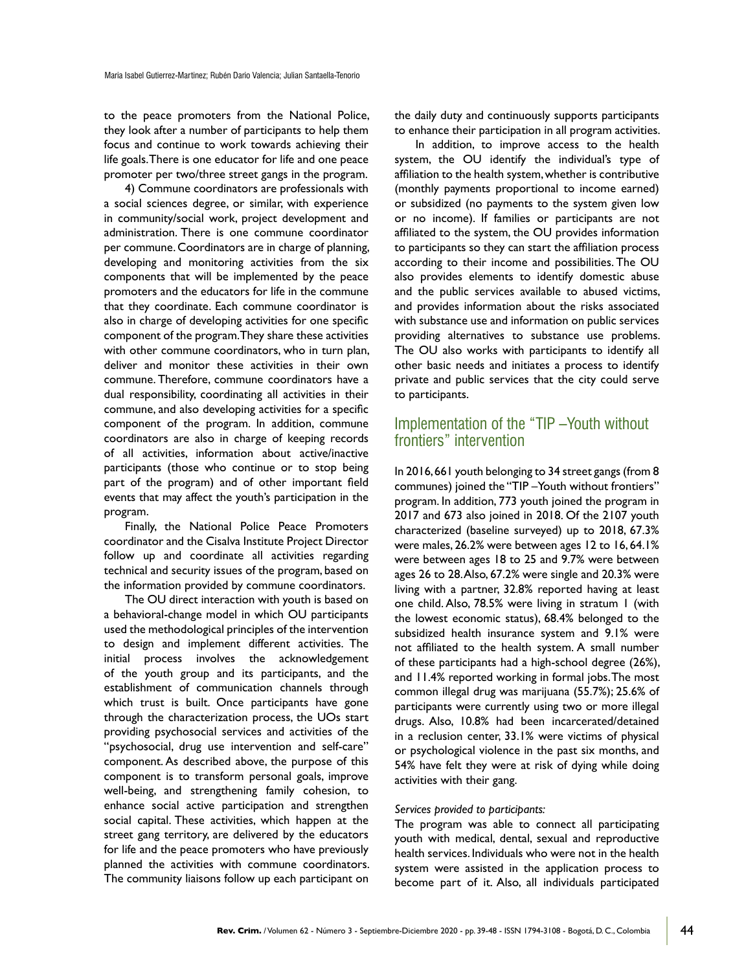to the peace promoters from the National Police, they look after a number of participants to help them focus and continue to work towards achieving their life goals. There is one educator for life and one peace promoter per two/three street gangs in the program.

4) Commune coordinators are professionals with a social sciences degree, or similar, with experience in community/social work, project development and administration. There is one commune coordinator per commune. Coordinators are in charge of planning, developing and monitoring activities from the six components that will be implemented by the peace promoters and the educators for life in the commune that they coordinate. Each commune coordinator is also in charge of developing activities for one specific component of the program. They share these activities with other commune coordinators, who in turn plan, deliver and monitor these activities in their own commune. Therefore, commune coordinators have a dual responsibility, coordinating all activities in their commune, and also developing activities for a specific component of the program. In addition, commune coordinators are also in charge of keeping records of all activities, information about active/inactive participants (those who continue or to stop being part of the program) and of other important field events that may affect the youth's participation in the program.

Finally, the National Police Peace Promoters coordinator and the Cisalva Institute Project Director follow up and coordinate all activities regarding technical and security issues of the program, based on the information provided by commune coordinators.

The OU direct interaction with youth is based on a behavioral-change model in which OU participants used the methodological principles of the intervention to design and implement different activities. The initial process involves the acknowledgement of the youth group and its participants, and the establishment of communication channels through which trust is built. Once participants have gone through the characterization process, the UOs start providing psychosocial services and activities of the "psychosocial, drug use intervention and self-care" component. As described above, the purpose of this component is to transform personal goals, improve well-being, and strengthening family cohesion, to enhance social active participation and strengthen social capital. These activities, which happen at the street gang territory, are delivered by the educators for life and the peace promoters who have previously planned the activities with commune coordinators. The community liaisons follow up each participant on

the daily duty and continuously supports participants to enhance their participation in all program activities.

In addition, to improve access to the health system, the OU identify the individual's type of affiliation to the health system, whether is contributive (monthly payments proportional to income earned) or subsidized (no payments to the system given low or no income). If families or participants are not affiliated to the system, the OU provides information to participants so they can start the affiliation process according to their income and possibilities. The OU also provides elements to identify domestic abuse and the public services available to abused victims, and provides information about the risks associated with substance use and information on public services providing alternatives to substance use problems. The OU also works with participants to identify all other basic needs and initiates a process to identify private and public services that the city could serve to participants.

### Implementation of the "TIP –Youth without frontiers" intervention

In 2016, 661 youth belonging to 34 street gangs (from 8 communes) joined the "TIP - Youth without frontiers" program. In addition, 773 youth joined the program in 2017 and 673 also joined in 2018. Of the 2107 youth characterized (baseline surveyed) up to 2018, 67.3% were males, 26.2% were between ages 12 to 16, 64.1% were between ages 18 to 25 and 9.7% were between ages 26 to 28. Also, 67.2% were single and 20.3% were living with a partner, 32.8% reported having at least one child. Also, 78.5% were living in stratum 1 (with the lowest economic status), 68.4% belonged to the subsidized health insurance system and 9.1% were not affiliated to the health system. A small number of these participants had a high-school degree (26%), and 11.4% reported working in formal jobs. The most common illegal drug was marijuana (55.7%); 25.6% of participants were currently using two or more illegal drugs. Also, 10.8% had been incarcerated/detained in a reclusion center, 33.1% were victims of physical or psychological violence in the past six months, and 54% have felt they were at risk of dying while doing activities with their gang.

#### *Services provided to participants:*

The program was able to connect all participating youth with medical, dental, sexual and reproductive health services. Individuals who were not in the health system were assisted in the application process to become part of it. Also, all individuals participated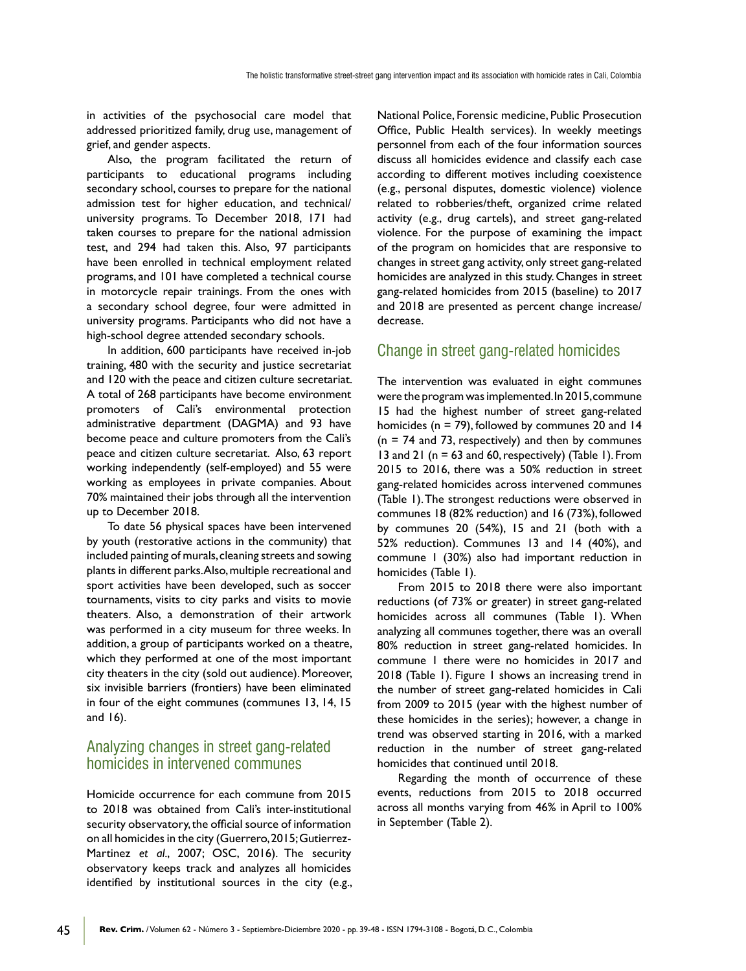in activities of the psychosocial care model that addressed prioritized family, drug use, management of grief, and gender aspects.

Also, the program facilitated the return of participants to educational programs including secondary school, courses to prepare for the national admission test for higher education, and technical/ university programs. To December 2018, 171 had taken courses to prepare for the national admission test, and 294 had taken this. Also, 97 participants have been enrolled in technical employment related programs, and 101 have completed a technical course in motorcycle repair trainings. From the ones with a secondary school degree, four were admitted in university programs. Participants who did not have a high-school degree attended secondary schools.

In addition, 600 participants have received in-job training, 480 with the security and justice secretariat and 120 with the peace and citizen culture secretariat. A total of 268 participants have become environment promoters of Cali's environmental protection administrative department (DAGMA) and 93 have become peace and culture promoters from the Cali's peace and citizen culture secretariat. Also, 63 report working independently (self-employed) and 55 were working as employees in private companies. About 70% maintained their jobs through all the intervention up to December 2018.

To date 56 physical spaces have been intervened by youth (restorative actions in the community) that included painting of murals, cleaning streets and sowing plants in different parks. Also, multiple recreational and sport activities have been developed, such as soccer tournaments, visits to city parks and visits to movie theaters. Also, a demonstration of their artwork was performed in a city museum for three weeks. In addition, a group of participants worked on a theatre, which they performed at one of the most important city theaters in the city (sold out audience). Moreover, six invisible barriers (frontiers) have been eliminated in four of the eight communes (communes 13, 14, 15 and 16).

### Analyzing changes in street gang-related homicides in intervened communes

Homicide occurrence for each commune from 2015 to 2018 was obtained from Cali's inter-institutional security observatory, the official source of information on all homicides in the city (Guerrero, 2015; Gutierrez-Martinez *et al*., 2007; OSC, 2016). The security observatory keeps track and analyzes all homicides identified by institutional sources in the city (e.g.,

45

National Police, Forensic medicine, Public Prosecution Office, Public Health services). In weekly meetings personnel from each of the four information sources discuss all homicides evidence and classify each case according to different motives including coexistence (e.g., personal disputes, domestic violence) violence related to robberies/theft, organized crime related activity (e.g., drug cartels), and street gang-related violence. For the purpose of examining the impact of the program on homicides that are responsive to changes in street gang activity, only street gang-related homicides are analyzed in this study. Changes in street gang-related homicides from 2015 (baseline) to 2017 and 2018 are presented as percent change increase/ decrease.

### Change in street gang-related homicides

The intervention was evaluated in eight communes were the program was implemented. In 2015, commune 15 had the highest number of street gang-related homicides ( $n = 79$ ), followed by communes 20 and 14  $(n = 74$  and 73, respectively) and then by communes 13 and 21 ( $n = 63$  and 60, respectively) (Table 1). From 2015 to 2016, there was a 50% reduction in street gang-related homicides across intervened communes (Table 1). The strongest reductions were observed in communes 18 (82% reduction) and 16 (73%), followed by communes 20 (54%), 15 and 21 (both with a 52% reduction). Communes 13 and 14 (40%), and commune 1 (30%) also had important reduction in homicides (Table 1).

From 2015 to 2018 there were also important reductions (of 73% or greater) in street gang-related homicides across all communes (Table 1). When analyzing all communes together, there was an overall 80% reduction in street gang-related homicides. In commune 1 there were no homicides in 2017 and 2018 (Table 1). Figure 1 shows an increasing trend in the number of street gang-related homicides in Cali from 2009 to 2015 (year with the highest number of these homicides in the series); however, a change in trend was observed starting in 2016, with a marked reduction in the number of street gang-related homicides that continued until 2018.

Regarding the month of occurrence of these events, reductions from 2015 to 2018 occurred across all months varying from 46% in April to 100% in September (Table 2).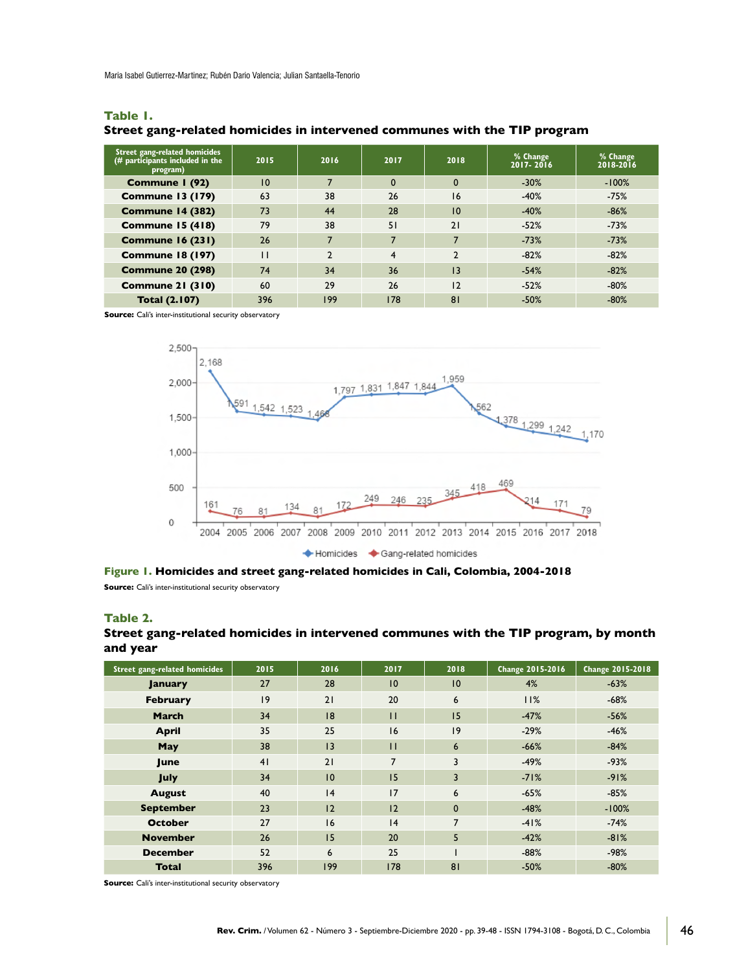Maria Isabel Gutierrez-Martinez; Rubén Dario Valencia; Julian Santaella-Tenorio

| Street gang-related homicides<br>$\frac{1}{4}$ participants included in the<br>program) | 2015         | 2016           | 2017 | 2018         | % Change<br>$2017 - 2016$ | % Change<br>2018-2016 |
|-----------------------------------------------------------------------------------------|--------------|----------------|------|--------------|---------------------------|-----------------------|
| Commune I (92)                                                                          | 10           | 7              | 0    | $\mathbf{0}$ | $-30%$                    | $-100%$               |
| <b>Commune 13 (179)</b>                                                                 | 63           | 38             | 26   | 16           | $-40%$                    | $-75%$                |
| <b>Commune 14 (382)</b>                                                                 | 73           | 44             | 28   | 10           | $-40%$                    | $-86%$                |
| Commune 15 (418)                                                                        | 79           | 38             | 51   | 21           | $-52%$                    | $-73%$                |
| <b>Commune 16 (231)</b>                                                                 | 26           | 7              |      |              | $-73%$                    | $-73%$                |
| <b>Commune 18 (197)</b>                                                                 | $\mathbf{H}$ | $\overline{2}$ | 4    |              | $-82%$                    | $-82%$                |
| <b>Commune 20 (298)</b>                                                                 | 74           | 34             | 36   | 13           | $-54%$                    | $-82%$                |
| <b>Commune 21 (310)</b>                                                                 | 60           | 29             | 26   | 12           | $-52%$                    | $-80%$                |
| <b>Total (2.107)</b>                                                                    | 396          | 199            | 178  | 81           | $-50%$                    | $-80%$                |

#### **Table 1.**

#### **Street gang-related homicides in intervened communes with the TIP program**

**Source:** Cali's inter-institutional security observatory



Figure 1. Homicides and street gang-related homicides in Cali, Colombia, 2004-2018 **Source:** Cali's inter-institutional security observatory

#### **Table 2.**

#### Street gang-related homicides in intervened communes with the TIP program, by month **and year**

| <b>Street gang-related homicides</b> | 2015 | 2016 | 2017           | 2018            | Change 2015-2016 | Change 2015-2018 |
|--------------------------------------|------|------|----------------|-----------------|------------------|------------------|
| <b>January</b>                       | 27   | 28   | 10             | 10              | 4%               | $-63%$           |
| <b>February</b>                      | 9    | 21   | 20             | 6               | 11%              | $-68%$           |
| <b>March</b>                         | 34   | 18   | $\mathbf{H}$   | 15              | $-47%$           | $-56%$           |
| <b>April</b>                         | 35   | 25   | 16             | 9               | $-29%$           | $-46%$           |
| <b>May</b>                           | 38   | 3    | $\mathbf{H}$   | $6\phantom{1}6$ | $-66%$           | $-84%$           |
| June                                 | 41   | 21   | $\overline{ }$ | 3               | $-49%$           | $-93%$           |
| <b>July</b>                          | 34   | 10   | 15             | 3               | $-71%$           | $-91%$           |
| <b>August</b>                        | 40   | 4    | 17             | 6               | $-65%$           | $-85%$           |
| <b>September</b>                     | 23   | 12   | 12             | $\mathbf{0}$    | $-48%$           | $-100%$          |
| <b>October</b>                       | 27   | 16   | 4              | $\overline{7}$  | $-41%$           | $-74%$           |
| <b>November</b>                      | 26   | 15   | 20             | 5               | $-42%$           | $-81%$           |
| <b>December</b>                      | 52   | 6    | 25             |                 | $-88%$           | $-98%$           |
| <b>Total</b>                         | 396  | 199  | 178            | 81              | $-50%$           | $-80%$           |

**Source:** Cali's inter-institutional security observatory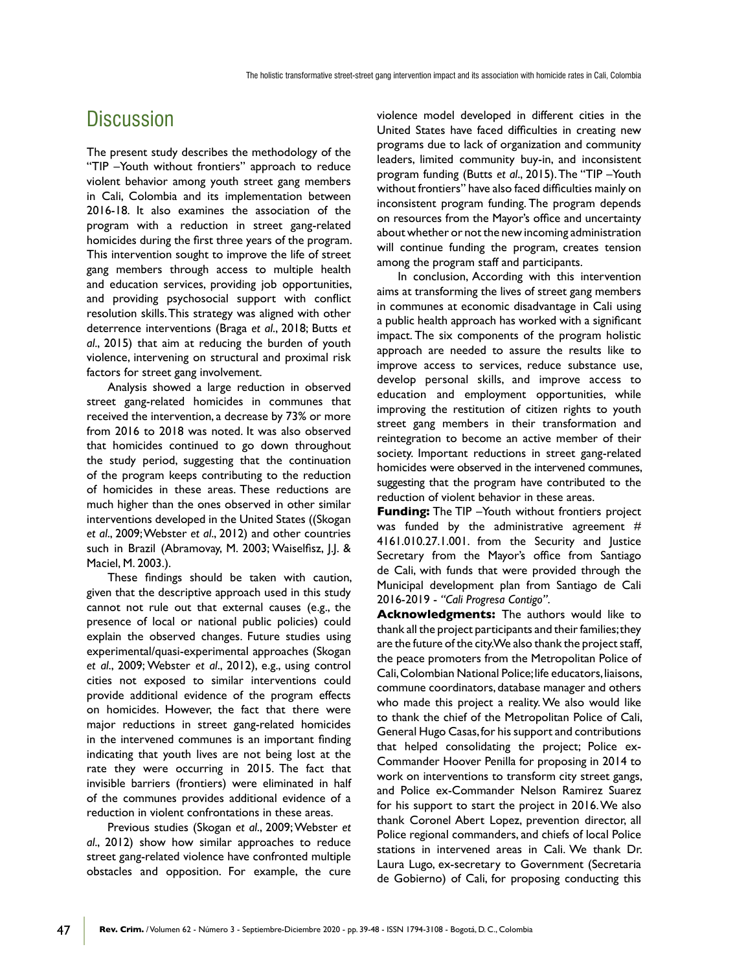# **Discussion**

The present study describes the methodology of the "TIP -Youth without frontiers" approach to reduce violent behavior among youth street gang members in Cali, Colombia and its implementation between 2016-18. It also examines the association of the program with a reduction in street gang-related homicides during the first three years of the program. This intervention sought to improve the life of street gang members through access to multiple health and education services, providing job opportunities, and providing psychosocial support with conflict resolution skills. This strategy was aligned with other deterrence interventions (Braga *et al*., 2018; Butts *et al*., 2015) that aim at reducing the burden of youth violence, intervening on structural and proximal risk factors for street gang involvement.

Analysis showed a large reduction in observed street gang-related homicides in communes that received the intervention, a decrease by 73% or more from 2016 to 2018 was noted. It was also observed that homicides continued to go down throughout the study period, suggesting that the continuation of the program keeps contributing to the reduction of homicides in these areas. These reductions are much higher than the ones observed in other similar interventions developed in the United States ((Skogan *et al*., 2009; Webster *et al*., 2012) and other countries such in Brazil (Abramovay, M. 2003; Waiselfisz, J.J. & Maciel, M. 2003.).

These findings should be taken with caution, given that the descriptive approach used in this study cannot not rule out that external causes (e.g., the presence of local or national public policies) could explain the observed changes. Future studies using experimental/quasi-experimental approaches (Skogan *et al*., 2009; Webster *et al*., 2012), e.g., using control cities not exposed to similar interventions could provide additional evidence of the program effects on homicides. However, the fact that there were major reductions in street gang-related homicides in the intervened communes is an important finding indicating that youth lives are not being lost at the rate they were occurring in 2015. The fact that invisible barriers (frontiers) were eliminated in half of the communes provides additional evidence of a reduction in violent confrontations in these areas.

Previous studies (Skogan *et al*., 2009; Webster *et al*., 2012) show how similar approaches to reduce street gang-related violence have confronted multiple obstacles and opposition. For example, the cure

47

violence model developed in different cities in the United States have faced difficulties in creating new programs due to lack of organization and community leaders, limited community buy-in, and inconsistent program funding (Butts *et al.*, 2015). The "TIP - Youth without frontiers" have also faced difficulties mainly on inconsistent program funding. The program depends on resources from the Mayor's office and uncertainty about whether or not the new incoming administration will continue funding the program, creates tension among the program staff and participants.

In conclusion, According with this intervention aims at transforming the lives of street gang members in communes at economic disadvantage in Cali using a public health approach has worked with a significant impact. The six components of the program holistic approach are needed to assure the results like to improve access to services, reduce substance use, develop personal skills, and improve access to education and employment opportunities, while improving the restitution of citizen rights to youth street gang members in their transformation and reintegration to become an active member of their society. Important reductions in street gang-related homicides were observed in the intervened communes, suggesting that the program have contributed to the reduction of violent behavior in these areas.

**Funding:** The TIP -Youth without frontiers project was funded by the administrative agreement  $#$ 4161.010.27.1.001. from the Security and Justice Secretary from the Mayor's office from Santiago de Cali, with funds that were provided through the Municipal development plan from Santiago de Cali 2016-2019 - *"Cali Progresa Contigo"*.

**Acknowledgments:** The authors would like to thank all the project participants and their families; they are the future of the city. We also thank the project staff, the peace promoters from the Metropolitan Police of Cali, Colombian National Police; life educators, liaisons, commune coordinators, database manager and others who made this project a reality. We also would like to thank the chief of the Metropolitan Police of Cali, General Hugo Casas, for his support and contributions that helped consolidating the project; Police ex-Commander Hoover Penilla for proposing in 2014 to work on interventions to transform city street gangs, and Police ex-Commander Nelson Ramirez Suarez for his support to start the project in 2016. We also thank Coronel Abert Lopez, prevention director, all Police regional commanders, and chiefs of local Police stations in intervened areas in Cali. We thank Dr. Laura Lugo, ex-secretary to Government (Secretaria de Gobierno) of Cali, for proposing conducting this